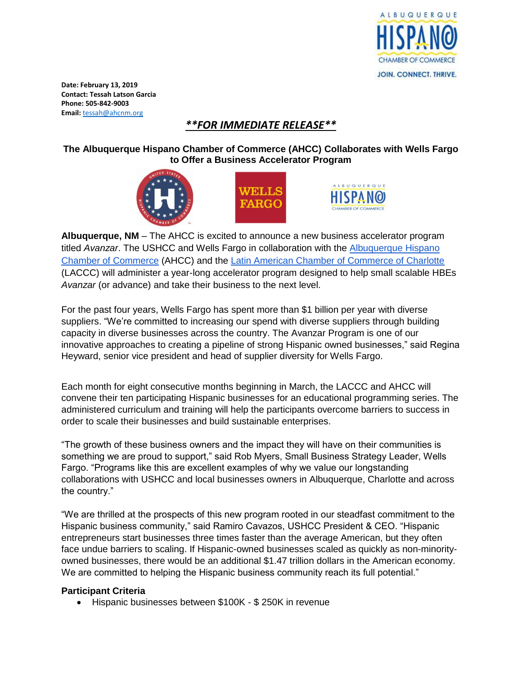

**Date: February 13, 2019 Contact: Tessah Latson Garcia Phone: 505-842-9003 Email:** [tessah@ahcnm.org](mailto:tessah@ahcnm.org)

## *\*\*FOR IMMEDIATE RELEASE\*\**

**The Albuquerque Hispano Chamber of Commerce (AHCC) Collaborates with Wells Fargo to Offer a Business Accelerator Program**







**Albuquerque, NM** – The AHCC is excited to announce a new business accelerator program titled *Avanzar*. The USHCC and Wells Fargo in collaboration with the [Albuquerque Hispano](https://www.ahcnm.org/) [Chamber of Commerce](https://www.ahcnm.org/) (AHCC) and the [Latin American Chamber of Commerce of Charlotte](https://www.lacccharlotte.com/) (LACCC) will administer a year-long accelerator program designed to help small scalable HBEs *Avanzar* (or advance) and take their business to the next level.

For the past four years, Wells Fargo has spent more than \$1 billion per year with diverse suppliers. "We're committed to increasing our spend with diverse suppliers through building capacity in diverse businesses across the country. The Avanzar Program is one of our innovative approaches to creating a pipeline of strong Hispanic owned businesses," said Regina Heyward, senior vice president and head of supplier diversity for Wells Fargo.

Each month for eight consecutive months beginning in March, the LACCC and AHCC will convene their ten participating Hispanic businesses for an educational programming series. The administered curriculum and training will help the participants overcome barriers to success in order to scale their businesses and build sustainable enterprises.

"The growth of these business owners and the impact they will have on their communities is something we are proud to support," said Rob Myers, Small Business Strategy Leader, Wells Fargo. "Programs like this are excellent examples of why we value our longstanding collaborations with USHCC and local businesses owners in Albuquerque, Charlotte and across the country."

"We are thrilled at the prospects of this new program rooted in our steadfast commitment to the Hispanic business community," said Ramiro Cavazos, USHCC President & CEO. "Hispanic entrepreneurs start businesses three times faster than the average American, but they often face undue barriers to scaling. If Hispanic-owned businesses scaled as quickly as non-minorityowned businesses, there would be an additional \$1.47 trillion dollars in the American economy. We are committed to helping the Hispanic business community reach its full potential."

## **Participant Criteria**

• Hispanic businesses between \$100K - \$ 250K in revenue